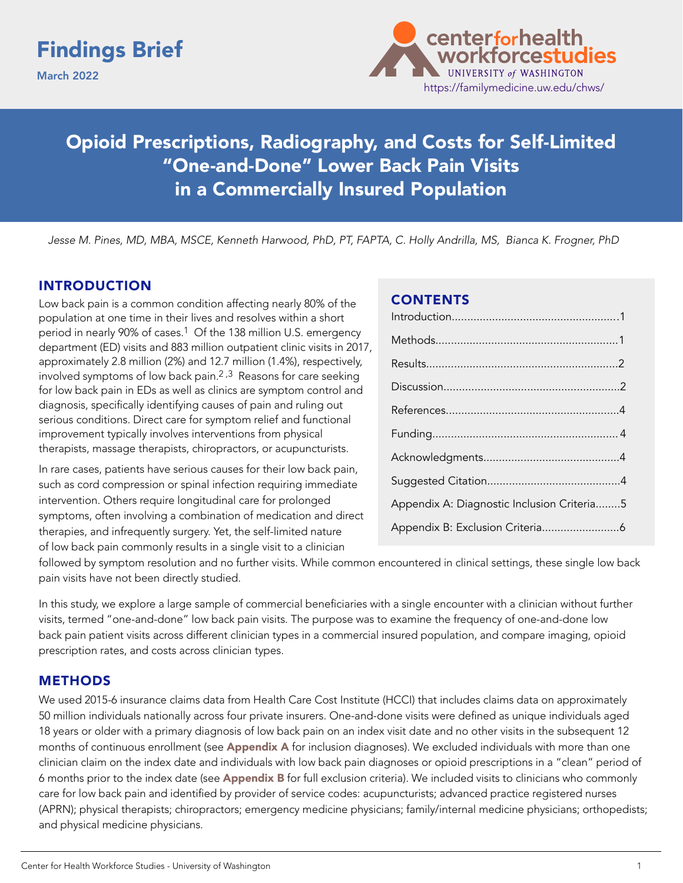# Findings Brief

March 2022



# Opioid Prescriptions, Radiography, and Costs for Self-Limited "One-and-Done" Lower Back Pain Visits in a Commercially Insured Population

*Jesse M. Pines, MD, MBA, MSCE, Kenneth Harwood, PhD, PT, FAPTA, C. Holly Andrilla, MS, Bianca K. Frogner, PhD*

#### INTRODUCTION

Low back pain is a common condition affecting nearly 80% of the population at one time in their lives and resolves within a short period in nearly 90% of cases.<sup>1</sup> Of the 138 million U.S. emergency department (ED) visits and 883 million outpatient clinic visits in 2017, approximately 2.8 million (2%) and 12.7 million (1.4%), respectively, involved symptoms of low back pain.<sup>2,3</sup> Reasons for care seeking for low back pain in EDs as well as clinics are symptom control and diagnosis, specifically identifying causes of pain and ruling out serious conditions. Direct care for symptom relief and functional improvement typically involves interventions from physical therapists, massage therapists, chiropractors, or acupuncturists.

In rare cases, patients have serious causes for their low back pain, such as cord compression or spinal infection requiring immediate intervention. Others require longitudinal care for prolonged symptoms, often involving a combination of medication and direct therapies, and infrequently surgery. Yet, the self-limited nature of low back pain commonly results in a single visit to a clinician

#### **CONTENTS**

followed by symptom resolution and no further visits. While common encountered in clinical settings, these single low back pain visits have not been directly studied.

In this study, we explore a large sample of commercial beneficiaries with a single encounter with a clinician without further visits, termed "one-and-done" low back pain visits. The purpose was to examine the frequency of one-and-done low back pain patient visits across different clinician types in a commercial insured population, and compare imaging, opioid prescription rates, and costs across clinician types.

#### **METHODS**

We used 2015-6 insurance claims data from Health Care Cost Institute (HCCI) that includes claims data on approximately 50 million individuals nationally across four private insurers. One-and-done visits were defined as unique individuals aged 18 years or older with a primary diagnosis of low back pain on an index visit date and no other visits in the subsequent 12 months of continuous enrollment (see Appendix A for inclusion diagnoses). We excluded individuals with more than one clinician claim on the index date and individuals with low back pain diagnoses or opioid prescriptions in a "clean" period of 6 months prior to the index date (see Appendix B for full exclusion criteria). We included visits to clinicians who commonly care for low back pain and identified by provider of service codes: acupuncturists; advanced practice registered nurses (APRN); physical therapists; chiropractors; emergency medicine physicians; family/internal medicine physicians; orthopedists; and physical medicine physicians.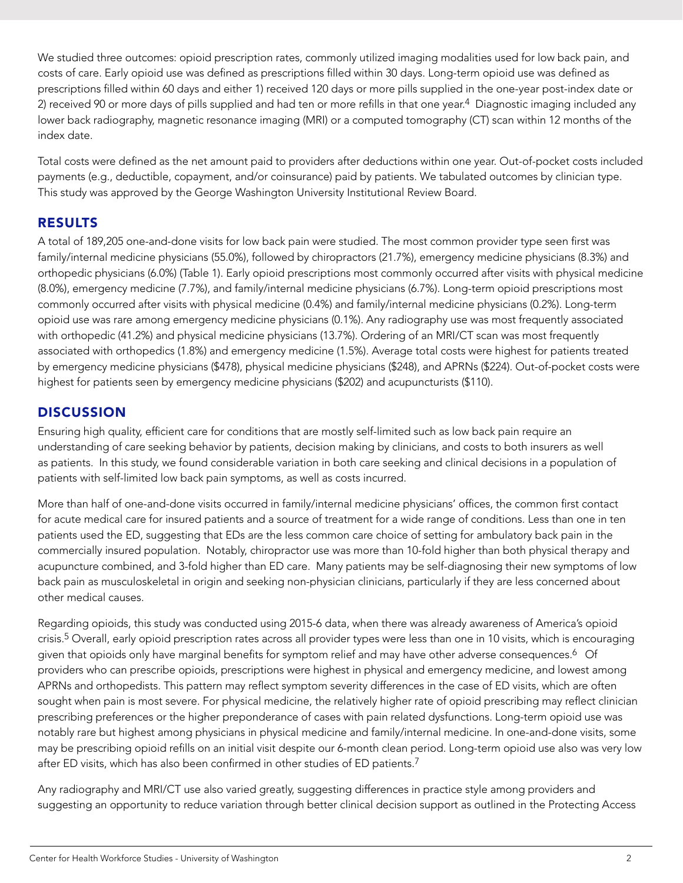<span id="page-1-0"></span>We studied three outcomes: opioid prescription rates, commonly utilized imaging modalities used for low back pain, and costs of care. Early opioid use was defined as prescriptions filled within 30 days. Long-term opioid use was defined as prescriptions filled within 60 days and either 1) received 120 days or more pills supplied in the one-year post-index date or 2) received 90 or more days of pills supplied and had ten or more refills in that one year.<sup>4</sup> Diagnostic imaging included any lower back radiography, magnetic resonance imaging (MRI) or a computed tomography (CT) scan within 12 months of the index date.

Total costs were defined as the net amount paid to providers after deductions within one year. Out-of-pocket costs included payments (e.g., deductible, copayment, and/or coinsurance) paid by patients. We tabulated outcomes by clinician type. This study was approved by the George Washington University Institutional Review Board.

## **RESULTS**

A total of 189,205 one-and-done visits for low back pain were studied. The most common provider type seen first was family/internal medicine physicians (55.0%), followed by chiropractors (21.7%), emergency medicine physicians (8.3%) and orthopedic physicians (6.0%) (Table 1). Early opioid prescriptions most commonly occurred after visits with physical medicine (8.0%), emergency medicine (7.7%), and family/internal medicine physicians (6.7%). Long-term opioid prescriptions most commonly occurred after visits with physical medicine (0.4%) and family/internal medicine physicians (0.2%). Long-term opioid use was rare among emergency medicine physicians (0.1%). Any radiography use was most frequently associated with orthopedic (41.2%) and physical medicine physicians (13.7%). Ordering of an MRI/CT scan was most frequently associated with orthopedics (1.8%) and emergency medicine (1.5%). Average total costs were highest for patients treated by emergency medicine physicians (\$478), physical medicine physicians (\$248), and APRNs (\$224). Out-of-pocket costs were highest for patients seen by emergency medicine physicians (\$202) and acupuncturists (\$110).

#### DISCUSSION

Ensuring high quality, efficient care for conditions that are mostly self-limited such as low back pain require an understanding of care seeking behavior by patients, decision making by clinicians, and costs to both insurers as well as patients. In this study, we found considerable variation in both care seeking and clinical decisions in a population of patients with self-limited low back pain symptoms, as well as costs incurred.

More than half of one-and-done visits occurred in family/internal medicine physicians' offices, the common first contact for acute medical care for insured patients and a source of treatment for a wide range of conditions. Less than one in ten patients used the ED, suggesting that EDs are the less common care choice of setting for ambulatory back pain in the commercially insured population. Notably, chiropractor use was more than 10-fold higher than both physical therapy and acupuncture combined, and 3-fold higher than ED care. Many patients may be self-diagnosing their new symptoms of low back pain as musculoskeletal in origin and seeking non-physician clinicians, particularly if they are less concerned about other medical causes.

Regarding opioids, this study was conducted using 2015-6 data, when there was already awareness of America's opioid crisis.5 Overall, early opioid prescription rates across all provider types were less than one in 10 visits, which is encouraging given that opioids only have marginal benefits for symptom relief and may have other adverse consequences.6 Of providers who can prescribe opioids, prescriptions were highest in physical and emergency medicine, and lowest among APRNs and orthopedists. This pattern may reflect symptom severity differences in the case of ED visits, which are often sought when pain is most severe. For physical medicine, the relatively higher rate of opioid prescribing may reflect clinician prescribing preferences or the higher preponderance of cases with pain related dysfunctions. Long-term opioid use was notably rare but highest among physicians in physical medicine and family/internal medicine. In one-and-done visits, some may be prescribing opioid refills on an initial visit despite our 6-month clean period. Long-term opioid use also was very low after ED visits, which has also been confirmed in other studies of ED patients.<sup>7</sup>

Any radiography and MRI/CT use also varied greatly, suggesting differences in practice style among providers and suggesting an opportunity to reduce variation through better clinical decision support as outlined in the Protecting Access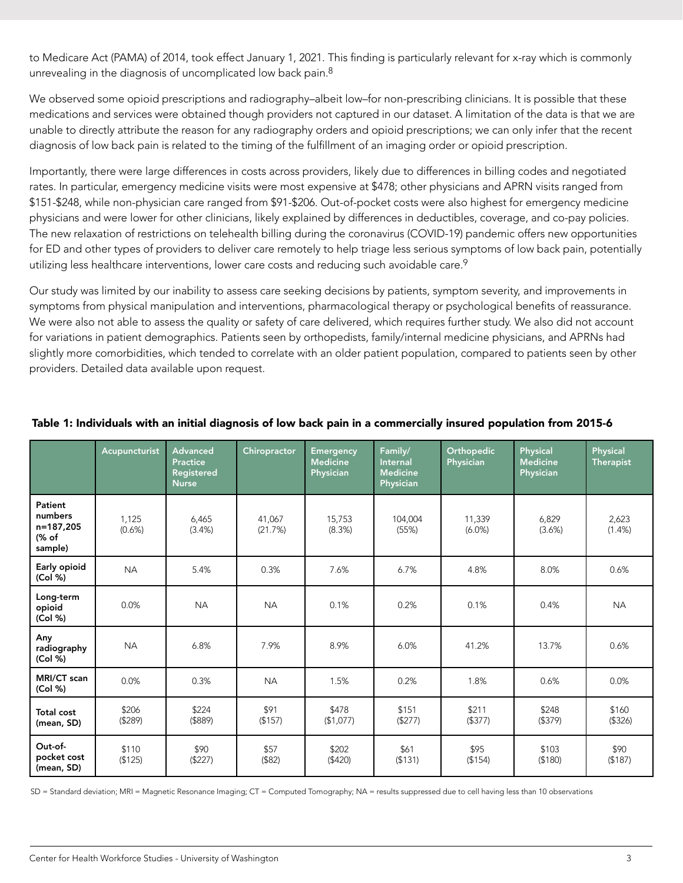to Medicare Act (PAMA) of 2014, took effect January 1, 2021. This finding is particularly relevant for x-ray which is commonly unrevealing in the diagnosis of uncomplicated low back pain.<sup>8</sup>

We observed some opioid prescriptions and radiography–albeit low–for non-prescribing clinicians. It is possible that these medications and services were obtained though providers not captured in our dataset. A limitation of the data is that we are unable to directly attribute the reason for any radiography orders and opioid prescriptions; we can only infer that the recent diagnosis of low back pain is related to the timing of the fulfillment of an imaging order or opioid prescription.

Importantly, there were large differences in costs across providers, likely due to differences in billing codes and negotiated rates. In particular, emergency medicine visits were most expensive at \$478; other physicians and APRN visits ranged from \$151-\$248, while non-physician care ranged from \$91-\$206. Out-of-pocket costs were also highest for emergency medicine physicians and were lower for other clinicians, likely explained by differences in deductibles, coverage, and co-pay policies. The new relaxation of restrictions on telehealth billing during the coronavirus (COVID-19) pandemic offers new opportunities for ED and other types of providers to deliver care remotely to help triage less serious symptoms of low back pain, potentially utilizing less healthcare interventions, lower care costs and reducing such avoidable care.<sup>9</sup>

Our study was limited by our inability to assess care seeking decisions by patients, symptom severity, and improvements in symptoms from physical manipulation and interventions, pharmacological therapy or psychological benefits of reassurance. We were also not able to assess the quality or safety of care delivered, which requires further study. We also did not account for variations in patient demographics. Patients seen by orthopedists, family/internal medicine physicians, and APRNs had slightly more comorbidities, which tended to correlate with an older patient population, compared to patients seen by other providers. Detailed data available upon request.

|                                                     | Acupuncturist     | <b>Advanced</b><br><b>Practice</b><br>Registered<br><b>Nurse</b> | Chiropractor      | <b>Emergency</b><br><b>Medicine</b><br>Physician | Family/<br><b>Internal</b><br><b>Medicine</b><br><b>Physician</b> | Orthopedic<br>Physician | Physical<br><b>Medicine</b><br>Physician | <b>Physical</b><br><b>Therapist</b> |
|-----------------------------------------------------|-------------------|------------------------------------------------------------------|-------------------|--------------------------------------------------|-------------------------------------------------------------------|-------------------------|------------------------------------------|-------------------------------------|
| Patient<br>numbers<br>n=187,205<br>(% of<br>sample) | 1,125<br>(0.6% )  | 6,465<br>(3.4% )                                                 | 41.067<br>(21.7%) | 15,753<br>(8.3%)                                 | 104,004<br>(55%)                                                  | 11,339<br>$(6.0\%)$     | 6,829<br>(3.6%)                          | 2,623<br>$(1.4\%)$                  |
| Early opioid<br>(Col %)                             | <b>NA</b>         | 5.4%                                                             | 0.3%              | 7.6%                                             | 6.7%                                                              | 4.8%                    | 8.0%                                     | 0.6%                                |
| Long-term<br>opioid<br>(Col %)                      | 0.0%              | <b>NA</b>                                                        | <b>NA</b>         | 0.1%                                             | 0.2%                                                              | 0.1%                    | 0.4%                                     | <b>NA</b>                           |
| Any<br>radiography<br>(Col %)                       | <b>NA</b>         | 6.8%                                                             | 7.9%              | 8.9%                                             | 6.0%                                                              | 41.2%                   | 13.7%                                    | 0.6%                                |
| MRI/CT scan<br>(Col %)                              | 0.0%              | 0.3%                                                             | <b>NA</b>         | 1.5%                                             | 0.2%                                                              | 1.8%                    | 0.6%                                     | 0.0%                                |
| <b>Total cost</b><br>(mean, SD)                     | \$206<br>( \$289) | \$224<br>$($ \$889)                                              | \$91<br>(\$157)   | \$478<br>(\$1,077)                               | \$151<br>(\$277)                                                  | \$211<br>$($ \$377)     | \$248<br>( \$379)                        | \$160<br>( \$326)                   |
| Out-of-<br>pocket cost<br>(mean, SD)                | \$110<br>(\$125)  | \$90<br>(\$227)                                                  | \$57<br>$($ \$82) | \$202<br>(\$420)                                 | \$61<br>(\$131)                                                   | \$95<br>( \$154)        | \$103<br>( \$180)                        | \$90<br>(\$187)                     |

#### Table 1: Individuals with an initial diagnosis of low back pain in a commercially insured population from 2015-6

SD = Standard deviation; MRI = Magnetic Resonance Imaging; CT = Computed Tomography; NA = results suppressed due to cell having less than 10 observations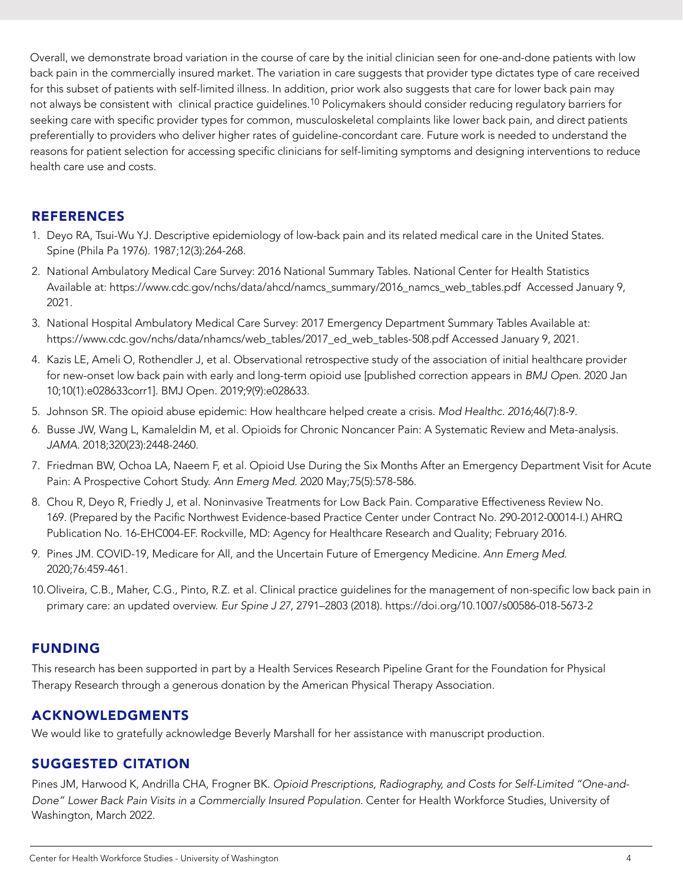<span id="page-3-0"></span>Overall, we demonstrate broad variation in the course of care by the initial clinician seen for one-and-done patients with low back pain in the commercially insured market. The variation in care suggests that provider type dictates type of care received for this subset of patients with self-limited illness. In addition, prior work also suggests that care for lower back pain may not always be consistent with clinical practice guidelines.10 Policymakers should consider reducing regulatory barriers for seeking care with specific provider types for common, musculoskeletal complaints like lower back pain, and direct patients preferentially to providers who deliver higher rates of guideline-concordant care. Future work is needed to understand the reasons for patient selection for accessing specific clinicians for self-limiting symptoms and designing interventions to reduce health care use and costs.

#### REFERENCES

- 1. Deyo RA, Tsui-Wu YJ. Descriptive epidemiology of low-back pain and its related medical care in the United States. Spine (Phila Pa 1976). 1987;12(3):264-268.
- 2. National Ambulatory Medical Care Survey: 2016 National Summary Tables. National Center for Health Statistics Available at: https://www.cdc.gov/nchs/data/ahcd/namcs\_summary/2016\_namcs\_web\_tables.pdf Accessed January 9, 2021.
- 3. National Hospital Ambulatory Medical Care Survey: 2017 Emergency Department Summary Tables Available at: https://www.cdc.gov/nchs/data/nhamcs/web\_tables/2017\_ed\_web\_tables-508.pdf Accessed January 9, 2021.
- 4. Kazis LE, Ameli O, Rothendler J, et al. Observational retrospective study of the association of initial healthcare provider for new-onset low back pain with early and long-term opioid use [published correction appears in *BMJ Ope*n. 2020 Jan 10;10(1):e028633corr1]. BMJ Open. 2019;9(9):e028633.
- 5. Johnson SR. The opioid abuse epidemic: How healthcare helped create a crisis. *Mod Healthc. 2016*;46(7):8-9.
- 6. Busse JW, Wang L, Kamaleldin M, et al. Opioids for Chronic Noncancer Pain: A Systematic Review and Meta-analysis. *JAMA*. 2018;320(23):2448-2460.
- 7. Friedman BW, Ochoa LA, Naeem F, et al. Opioid Use During the Six Months After an Emergency Department Visit for Acute Pain: A Prospective Cohort Study. *Ann Emerg Med.* 2020 May;75(5):578-586.
- 8. Chou R, Deyo R, Friedly J, et al. Noninvasive Treatments for Low Back Pain. Comparative Effectiveness Review No. 169. (Prepared by the Pacific Northwest Evidence-based Practice Center under Contract No. 290-2012-00014-I.) AHRQ Publication No. 16-EHC004-EF. Rockville, MD: Agency for Healthcare Research and Quality; February 2016.
- 9. Pines JM. COVID-19, Medicare for All, and the Uncertain Future of Emergency Medicine. *Ann Emerg Med*. 2020;76:459-461.
- 10.Oliveira, C.B., Maher, C.G., Pinto, R.Z. et al. Clinical practice guidelines for the management of non-specific low back pain in primary care: an updated overview. *Eur Spine J 27*, 2791–2803 (2018). https://doi.org/10.1007/s00586-018-5673-2

#### FUNDING

This research has been supported in part by a Health Services Research Pipeline Grant for the Foundation for Physical Therapy Research through a generous donation by the American Physical Therapy Association.

#### ACKNOWLEDGMENTS

We would like to gratefully acknowledge Beverly Marshall for her assistance with manuscript production.

## SUGGESTED CITATION

Pines JM, Harwood K, Andrilla CHA, Frogner BK. *Opioid Prescriptions, Radiography, and Costs for Self-Limited "One-and-Done" Lower Back Pain Visits in a Commercially Insured Population.* Center for Health Workforce Studies, University of Washington, March 2022.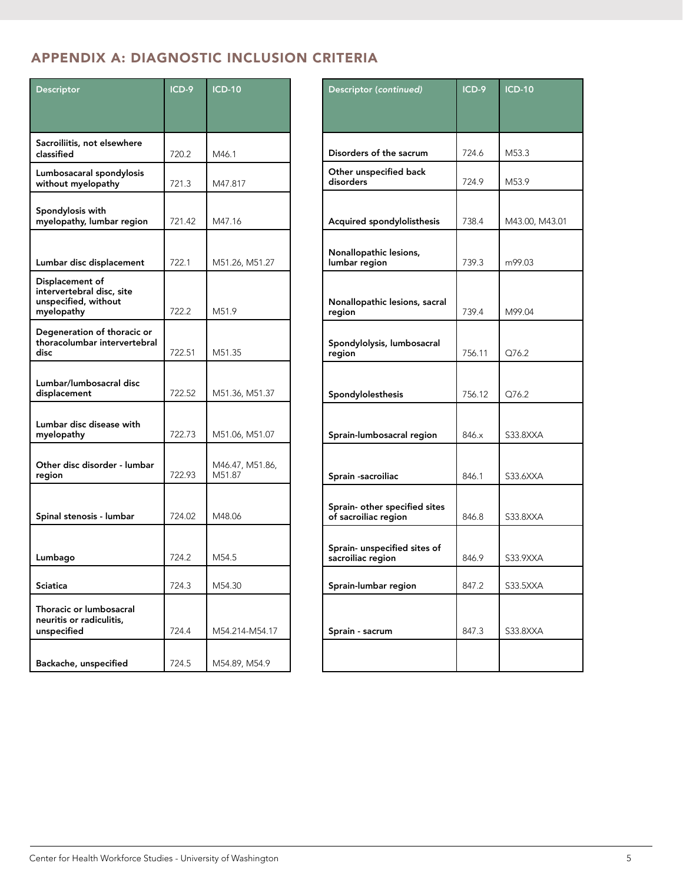# <span id="page-4-0"></span>APPENDIX A: DIAGNOSTIC INCLUSION CRITERIA

| Descriptor                                                                         | ICD-9  | <b>ICD-10</b>             |
|------------------------------------------------------------------------------------|--------|---------------------------|
|                                                                                    |        |                           |
| Sacroiliitis, not elsewhere                                                        |        |                           |
| classified                                                                         | 720.2  | M46.1                     |
| Lumbosacaral spondylosis<br>without myelopathy                                     | 721.3  | M47.817                   |
| Spondylosis with<br>myelopathy, lumbar region                                      | 721.42 | M47.16                    |
|                                                                                    |        |                           |
| Lumbar disc displacement                                                           | 722.1  | M51.26, M51.27            |
| Displacement of<br>intervertebral disc, site<br>unspecified, without<br>myelopathy | 722.2  | M51.9                     |
| Degeneration of thoracic or<br>thoracolumbar intervertebral<br>disc                | 722.51 | M51.35                    |
| Lumbar/lumbosacral disc<br>displacement                                            | 722.52 | M51.36, M51.37            |
| Lumbar disc disease with<br>myelopathy                                             | 722.73 | M51.06, M51.07            |
| Other disc disorder - lumbar<br>region                                             | 722.93 | M46.47, M51.86,<br>M51.87 |
| Spinal stenosis - lumbar                                                           | 724.02 | M48.06                    |
|                                                                                    |        |                           |
| Lumbago                                                                            | 724.2  | M54.5                     |
| Sciatica                                                                           | 724.3  | M54.30                    |
| Thoracic or lumbosacral<br>neuritis or radiculitis,<br>unspecified                 | 724.4  | M54.214-M54.17            |
| Backache, unspecified                                                              | 724.5  | M54.89, M54.9             |

| Descriptor (continued)                                | ICD-9  | <b>ICD-10</b>  |
|-------------------------------------------------------|--------|----------------|
|                                                       |        |                |
| Disorders of the sacrum                               | 724.6  | M53.3          |
|                                                       |        |                |
| Other unspecified back<br>disorders                   | 724.9  | M53.9          |
|                                                       |        |                |
| Acquired spondylolisthesis                            | 738.4  | M43.00, M43.01 |
| Nonallopathic lesions,<br>lumbar region               | 739.3  | m99.03         |
|                                                       |        |                |
| Nonallopathic lesions, sacral<br>region               | 739.4  | M99.04         |
| Spondylolysis, lumbosacral<br>region                  | 756.11 | Q76.2          |
|                                                       |        |                |
| Spondylolesthesis                                     | 756.12 | Q76.2          |
|                                                       |        |                |
| Sprain-lumbosacral region                             | 846.x  | S33.8XXA       |
|                                                       |        |                |
| Sprain -sacroiliac                                    | 846.1  | S33.6XXA       |
|                                                       |        |                |
| Sprain- other specified sites<br>of sacroiliac region | 846.8  | S33.8XXA       |
|                                                       |        |                |
| Sprain- unspecified sites of<br>sacroiliac region     | 846.9  | S33.9XXA       |
| Sprain-lumbar region                                  | 847.2  | S33.5XXA       |
|                                                       |        |                |
| Sprain - sacrum                                       | 847.3  | S33.8XXA       |
|                                                       |        |                |
|                                                       |        |                |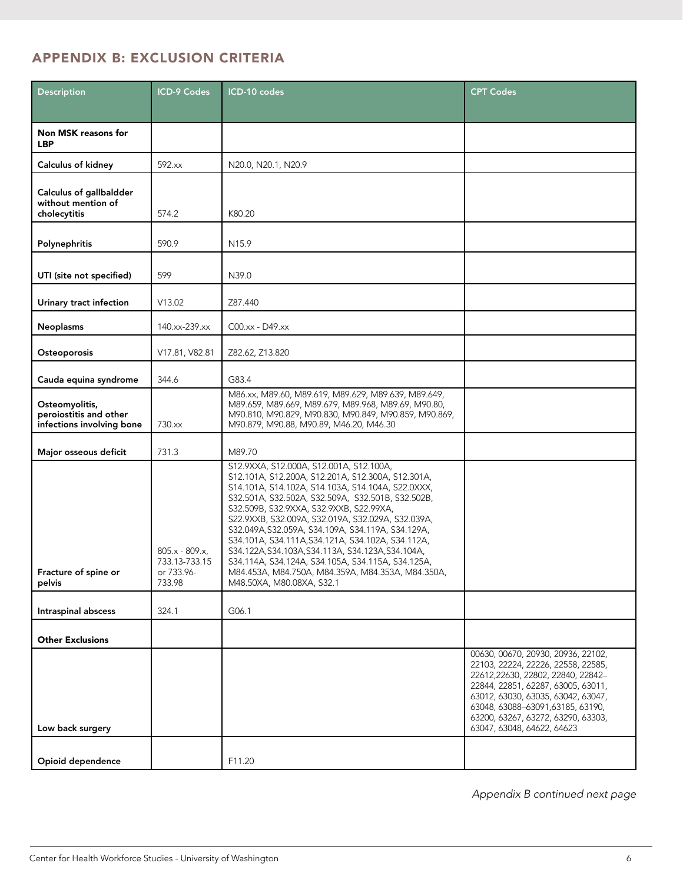# <span id="page-5-0"></span>APPENDIX B: EXCLUSION CRITERIA

| Description                                                           | <b>ICD-9 Codes</b>                                       | ICD-10 codes                                                                                                                                                                                                                                                                                                                                                                                                                                                                                                                                                                                                 | <b>CPT Codes</b>                                                                                                                                                                                                                                                                                   |
|-----------------------------------------------------------------------|----------------------------------------------------------|--------------------------------------------------------------------------------------------------------------------------------------------------------------------------------------------------------------------------------------------------------------------------------------------------------------------------------------------------------------------------------------------------------------------------------------------------------------------------------------------------------------------------------------------------------------------------------------------------------------|----------------------------------------------------------------------------------------------------------------------------------------------------------------------------------------------------------------------------------------------------------------------------------------------------|
|                                                                       |                                                          |                                                                                                                                                                                                                                                                                                                                                                                                                                                                                                                                                                                                              |                                                                                                                                                                                                                                                                                                    |
| <b>Non MSK reasons for</b><br><b>LBP</b>                              |                                                          |                                                                                                                                                                                                                                                                                                                                                                                                                                                                                                                                                                                                              |                                                                                                                                                                                                                                                                                                    |
| Calculus of kidney                                                    | 592.xx                                                   | N20.0, N20.1, N20.9                                                                                                                                                                                                                                                                                                                                                                                                                                                                                                                                                                                          |                                                                                                                                                                                                                                                                                                    |
| Calculus of gallbaldder<br>without mention of<br>cholecytitis         | 574.2                                                    | K80.20                                                                                                                                                                                                                                                                                                                                                                                                                                                                                                                                                                                                       |                                                                                                                                                                                                                                                                                                    |
| Polynephritis                                                         | 590.9                                                    | N <sub>15.9</sub>                                                                                                                                                                                                                                                                                                                                                                                                                                                                                                                                                                                            |                                                                                                                                                                                                                                                                                                    |
| 599<br>UTI (site not specified)                                       |                                                          | N39.0                                                                                                                                                                                                                                                                                                                                                                                                                                                                                                                                                                                                        |                                                                                                                                                                                                                                                                                                    |
| Urinary tract infection                                               | V13.02                                                   | Z87.440                                                                                                                                                                                                                                                                                                                                                                                                                                                                                                                                                                                                      |                                                                                                                                                                                                                                                                                                    |
| <b>Neoplasms</b>                                                      | 140.xx-239.xx                                            | $CO0$ .xx - $D49$ .xx                                                                                                                                                                                                                                                                                                                                                                                                                                                                                                                                                                                        |                                                                                                                                                                                                                                                                                                    |
| Osteoporosis                                                          | V17.81, V82.81                                           | Z82.62, Z13.820                                                                                                                                                                                                                                                                                                                                                                                                                                                                                                                                                                                              |                                                                                                                                                                                                                                                                                                    |
| Cauda equina syndrome                                                 | 344.6                                                    | G83.4                                                                                                                                                                                                                                                                                                                                                                                                                                                                                                                                                                                                        |                                                                                                                                                                                                                                                                                                    |
| Osteomyolitis,<br>peroiostitis and other<br>infections involving bone | 730.xx                                                   | M86.xx, M89.60, M89.619, M89.629, M89.639, M89.649,<br>M89.659, M89.669, M89.679, M89.968, M89.69, M90.80,<br>M90.810, M90.829, M90.830, M90.849, M90.859, M90.869,<br>M90.879, M90.88, M90.89, M46.20, M46.30                                                                                                                                                                                                                                                                                                                                                                                               |                                                                                                                                                                                                                                                                                                    |
| Major osseous deficit                                                 | 731.3                                                    | M89.70                                                                                                                                                                                                                                                                                                                                                                                                                                                                                                                                                                                                       |                                                                                                                                                                                                                                                                                                    |
| Fracture of spine or<br>pelvis                                        | $805.x - 809.x$<br>733.13-733.15<br>or 733.96-<br>733.98 | S12.9XXA, S12.000A, S12.001A, S12.100A,<br>S12.101A, S12.200A, S12.201A, S12.300A, S12.301A,<br>S14.101A, S14.102A, S14.103A, S14.104A, S22.0XXX,<br>S32.501A, S32.502A, S32.509A, S32.501B, S32.502B,<br>S32.509B, S32.9XXA, S32.9XXB, S22.99XA,<br>S22.9XXB, S32.009A, S32.019A, S32.029A, S32.039A,<br>S32.049A, S32.059A, S34.109A, S34.119A, S34.129A,<br>S34.101A, S34.111A, S34.121A, S34.102A, S34.112A,<br>S34.122A, S34.103A, S34.113A, S34.123A, S34.104A,<br>S34.114A, S34.124A, S34.105A, S34.115A, S34.125A,<br>M84.453A, M84.750A, M84.359A, M84.353A, M84.350A,<br>M48.50XA, M80.08XA, S32.1 |                                                                                                                                                                                                                                                                                                    |
| Intraspinal abscess                                                   | 324.1                                                    | G06.1                                                                                                                                                                                                                                                                                                                                                                                                                                                                                                                                                                                                        |                                                                                                                                                                                                                                                                                                    |
| <b>Other Exclusions</b>                                               |                                                          |                                                                                                                                                                                                                                                                                                                                                                                                                                                                                                                                                                                                              |                                                                                                                                                                                                                                                                                                    |
| Low back surgery                                                      |                                                          |                                                                                                                                                                                                                                                                                                                                                                                                                                                                                                                                                                                                              | 00630, 00670, 20930, 20936, 22102,<br>22103, 22224, 22226, 22558, 22585,<br>22612,22630, 22802, 22840, 22842-<br>22844, 22851, 62287, 63005, 63011,<br>63012, 63030, 63035, 63042, 63047,<br>63048, 63088-63091, 63185, 63190,<br>63200, 63267, 63272, 63290, 63303,<br>63047, 63048, 64622, 64623 |
| Opioid dependence                                                     |                                                          | F11.20                                                                                                                                                                                                                                                                                                                                                                                                                                                                                                                                                                                                       |                                                                                                                                                                                                                                                                                                    |

*Appendix B continued next page*